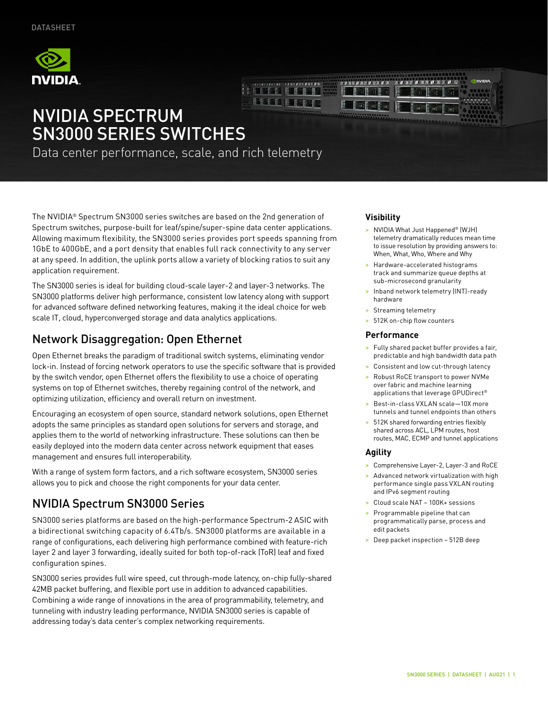





# NVIDIA SPECTRUM SN3000 SERIES SWITCHES

Data center performance, scale, and rich telemetry

The NVIDIA® Spectrum SN3000 series switches are based on the 2nd generation of Spectrum switches, purpose-built for leaf/spine/super-spine data center applications. Allowing maximum flexibility, the SN3000 series provides port speeds spanning from 1GbE to 400GbE, and a port density that enables full rack connectivity to any server at any speed. In addition, the uplink ports allow a variety of blocking ratios to suit any application requirement.

The SN3000 series is ideal for building cloud-scale layer-2 and layer-3 networks. The SN3000 platforms deliver high performance, consistent low latency along with support for advanced software defined networking features, making it the ideal choice for web scale IT, cloud, hyperconverged storage and data analytics applications.

### Network Disaggregation: Open Ethernet

Open Ethernet breaks the paradigm of traditional switch systems, eliminating vendor lock-in. Instead of forcing network operators to use the specific software that is provided by the switch vendor, open Ethernet offers the flexibility to use a choice of operating systems on top of Ethernet switches, thereby regaining control of the network, and optimizing utilization, efficiency and overall return on investment.

Encouraging an ecosystem of open source, standard network solutions, open Ethernet adopts the same principles as standard open solutions for servers and storage, and applies them to the world of networking infrastructure. These solutions can then be easily deployed into the modern data center across network equipment that eases management and ensures full interoperability.

With a range of system form factors, and a rich software ecosystem, SN3000 series allows you to pick and choose the right components for your data center.

## NVIDIA Spectrum SN3000 Series

SN3000 series platforms are based on the high-performance Spectrum-2 ASIC with a bidirectional switching capacity of 6.4Tb/s. SN3000 platforms are available in a range of configurations, each delivering high performance combined with feature-rich layer 2 and layer 3 forwarding, ideally suited for both top-of-rack (ToR) leaf and fixed configuration spines.

SN3000 series provides full wire speed, cut through-mode latency, on-chip fully-shared 42MB packet buffering, and flexible port use in addition to advanced capabilities. Combining a wide range of innovations in the area of programmability, telemetry, and tunneling with industry leading performance, NVIDIA SN3000 series is capable of addressing today's data center's complex networking requirements.

#### **Visibility**

- > NVIDIA What Just Happened® (WJH) telemetry dramatically reduces mean time to issue resolution by providing answers to: When, What, Who, Where and Why
- > Hardware-accelerated histograms track and summarize queue depths at sub-microsecond granularity
- > Inband network telemetry (INT)-ready hardware
- > Streaming telemetry
- 512K on-chip flow counters

#### **Performance**

- > Fully shared packet buffer provides a fair, predictable and high bandwidth data path
- > Consistent and low cut-through latency
- > Robust RoCE transport to power NVMe over fabric and machine learning applications that leverage GPUDirect®
- > Best-in-class VXLAN scale—10X more tunnels and tunnel endpoints than others
- > 512K shared forwarding entries flexibly shared across ACL, LPM routes, host routes, MAC, ECMP and tunnel applications

#### **Agility**

- > Comprehensive Layer-2, Layer-3 and RoCE
- > Advanced network virtualization with high performance single pass VXLAN routing and IPv6 segment routing
- > Cloud scale NAT 100K+ sessions
- > Programmable pipeline that can programmatically parse, process and edit packets
- > Deep packet inspection 512B deep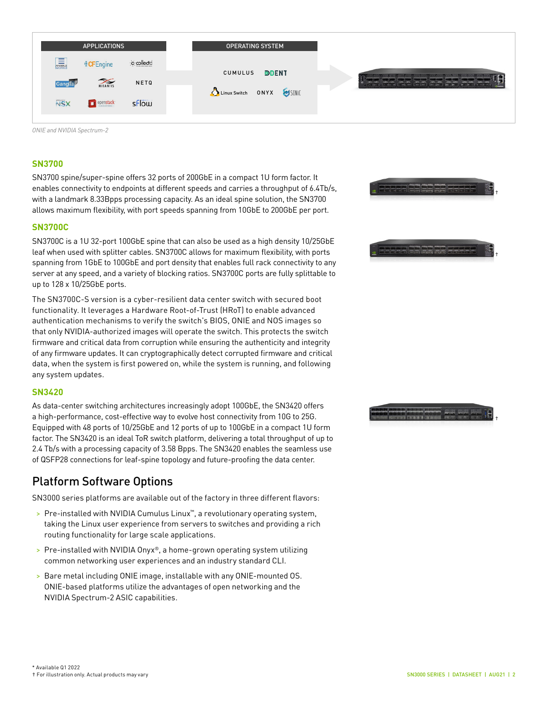| <b>APPLICATIONS</b>                               | <b>OPERATING SYSTEM</b> |                   |
|---------------------------------------------------|-------------------------|-------------------|
| 扁<br>o collecto<br><b><i><u>⊪CFEngine</u></i></b> | <b>DDENT</b><br>CUMULUS |                   |
| <b>WIRANTIS</b><br>NETQ<br><b>Ganglia</b>         | Linux Switch ONYX SINIC | <b>CONTRACTOR</b> |
| <b>NSX</b><br>sflow<br>openstack                  |                         |                   |

*ONIE and NVIDIA Spectrum-2*

#### **SN3700**

SN3700 spine/super-spine offers 32 ports of 200GbE in a compact 1U form factor. It enables connectivity to endpoints at different speeds and carries a throughput of 6.4Tb/s, with a landmark 8.33Bpps processing capacity. As an ideal spine solution, the SN3700 allows maximum flexibility, with port speeds spanning from 10GbE to 200GbE per port.

#### **SN3700C**

SN3700C is a 1U 32-port 100GbE spine that can also be used as a high density 10/25GbE leaf when used with splitter cables. SN3700C allows for maximum flexibility, with ports spanning from 1GbE to 100GbE and port density that enables full rack connectivity to any server at any speed, and a variety of blocking ratios. SN3700C ports are fully splittable to up to 128 x 10/25GbE ports.

The SN3700C-S version is a cyber-resilient data center switch with secured boot functionality. It leverages a Hardware Root-of-Trust (HRoT) to enable advanced authentication mechanisms to verify the switch's BIOS, ONIE and NOS images so that only NVIDIA-authorized images will operate the switch. This protects the switch firmware and critical data from corruption while ensuring the authenticity and integrity of any firmware updates. It can cryptographically detect corrupted firmware and critical data, when the system is first powered on, while the system is running, and following any system updates.

#### **SN3420**

As data-center switching architectures increasingly adopt 100GbE, the SN3420 offers a high-performance, cost-effective way to evolve host connectivity from 10G to 25G. Equipped with 48 ports of 10/25GbE and 12 ports of up to 100GbE in a compact 1U form factor. The SN3420 is an ideal ToR switch platform, delivering a total throughput of up to 2.4 Tb/s with a processing capacity of 3.58 Bpps. The SN3420 enables the seamless use of QSFP28 connections for leaf-spine topology and future-proofing the data center.

### Platform Software Options

SN3000 series platforms are available out of the factory in three different flavors:

- > Pre-installed with NVIDIA Cumulus Linux™, a revolutionary operating system, taking the Linux user experience from servers to switches and providing a rich routing functionality for large scale applications.
- > Pre-installed with NVIDIA Onyx®, a home-grown operating system utilizing common networking user experiences and an industry standard CLI.
- > Bare metal including ONIE image, installable with any ONIE-mounted OS. ONIE-based platforms utilize the advantages of open networking and the NVIDIA Spectrum-2 ASIC capabilities.



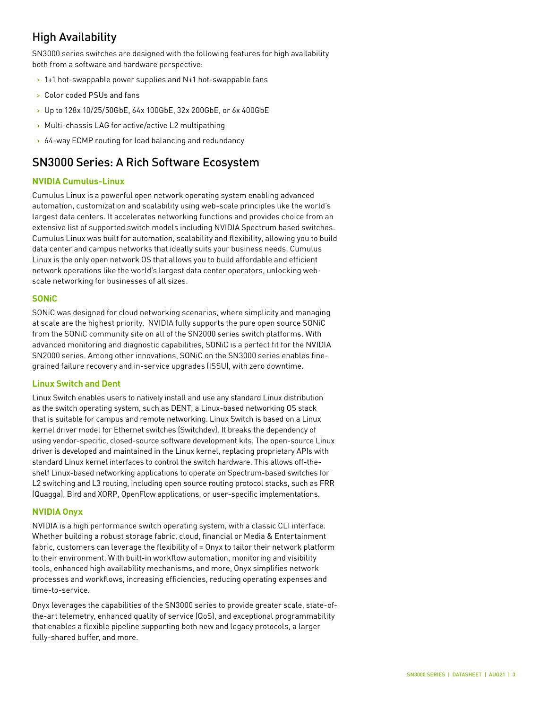## High Availability

SN3000 series switches are designed with the following features for high availability both from a software and hardware perspective:

- > 1+1 hot-swappable power supplies and N+1 hot-swappable fans
- > Color coded PSUs and fans
- > Up to 128x 10/25/50GbE, 64x 100GbE, 32x 200GbE, or 6x 400GbE
- > Multi-chassis LAG for active/active L2 multipathing
- > 64-way ECMP routing for load balancing and redundancy

### SN3000 Series: A Rich Software Ecosystem

#### **NVIDIA Cumulus-Linux**

Cumulus Linux is a powerful open network operating system enabling advanced automation, customization and scalability using web-scale principles like the world's largest data centers. It accelerates networking functions and provides choice from an extensive list of supported switch models including NVIDIA Spectrum based switches. Cumulus Linux was built for automation, scalability and flexibility, allowing you to build data center and campus networks that ideally suits your business needs. Cumulus Linux is the only open network OS that allows you to build affordable and efficient network operations like the world's largest data center operators, unlocking webscale networking for businesses of all sizes.

#### **SONiC**

SONiC was designed for cloud networking scenarios, where simplicity and managing at scale are the highest priority. NVIDIA fully supports the pure open source SONiC from the SONiC community site on all of the SN2000 series switch platforms. With advanced monitoring and diagnostic capabilities, SONiC is a perfect fit for the NVIDIA SN2000 series. Among other innovations, SONiC on the SN3000 series enables finegrained failure recovery and in-service upgrades (ISSU), with zero downtime.

#### **Linux Switch and Dent**

Linux Switch enables users to natively install and use any standard Linux distribution as the switch operating system, such as DENT, a Linux-based networking OS stack that is suitable for campus and remote networking. Linux Switch is based on a Linux kernel driver model for Ethernet switches (Switchdev). It breaks the dependency of using vendor-specific, closed-source software development kits. The open-source Linux driver is developed and maintained in the Linux kernel, replacing proprietary APIs with standard Linux kernel interfaces to control the switch hardware. This allows off-theshelf Linux-based networking applications to operate on Spectrum-based switches for L2 switching and L3 routing, including open source routing protocol stacks, such as FRR (Quagga), Bird and XORP, OpenFlow applications, or user-specific implementations.

#### **NVIDIA Onyx**

NVIDIA is a high performance switch operating system, with a classic CLI interface. Whether building a robust storage fabric, cloud, financial or Media & Entertainment fabric, customers can leverage the flexibility of = Onyx to tailor their network platform to their environment. With built-in workflow automation, monitoring and visibility tools, enhanced high availability mechanisms, and more, Onyx simplifies network processes and workflows, increasing efficiencies, reducing operating expenses and time-to-service.

Onyx leverages the capabilities of the SN3000 series to provide greater scale, state-ofthe-art telemetry, enhanced quality of service (QoS), and exceptional programmability that enables a flexible pipeline supporting both new and legacy protocols, a larger fully-shared buffer, and more.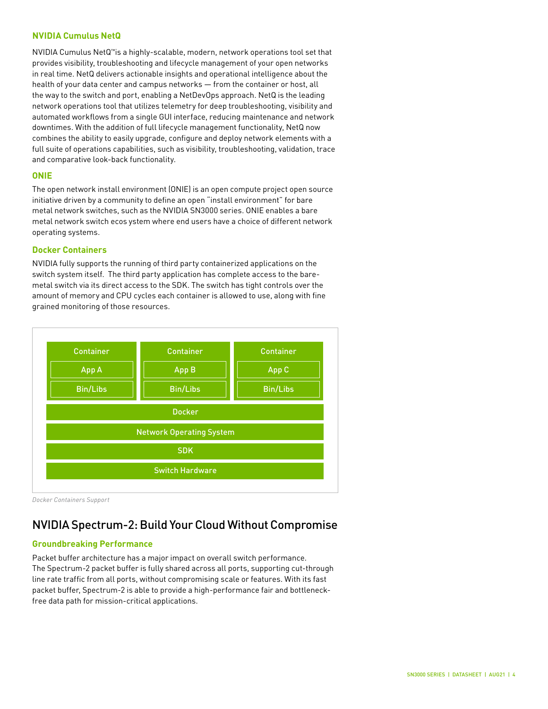#### **NVIDIA Cumulus NetQ**

NVIDIA Cumulus NetQ™is a highly-scalable, modern, network operations tool set that provides visibility, troubleshooting and lifecycle management of your open networks in real time. NetQ delivers actionable insights and operational intelligence about the health of your data center and campus networks — from the container or host, all the way to the switch and port, enabling a NetDevOps approach. NetQ is the leading network operations tool that utilizes telemetry for deep troubleshooting, visibility and automated workflows from a single GUI interface, reducing maintenance and network downtimes. With the addition of full lifecycle management functionality, NetQ now combines the ability to easily upgrade, configure and deploy network elements with a full suite of operations capabilities, such as visibility, troubleshooting, validation, trace and comparative look-back functionality.

#### **ONIE**

The open network install environment (ONIE) is an open compute project open source initiative driven by a community to define an open "install environment" for bare metal network switches, such as the NVIDIA SN3000 series. ONIE enables a bare metal network switch ecos ystem where end users have a choice of different network operating systems.

#### **Docker Containers**

NVIDIA fully supports the running of third party containerized applications on the switch system itself. The third party application has complete access to the baremetal switch via its direct access to the SDK. The switch has tight controls over the amount of memory and CPU cycles each container is allowed to use, along with fine grained monitoring of those resources.



*Docker Containers Support* 

## NVIDIA Spectrum-2: Build Your Cloud Without Compromise

#### **Groundbreaking Performance**

Packet buffer architecture has a major impact on overall switch performance. The Spectrum-2 packet buffer is fully shared across all ports, supporting cut-through line rate traffic from all ports, without compromising scale or features. With its fast packet buffer, Spectrum-2 is able to provide a high-performance fair and bottleneckfree data path for mission-critical applications.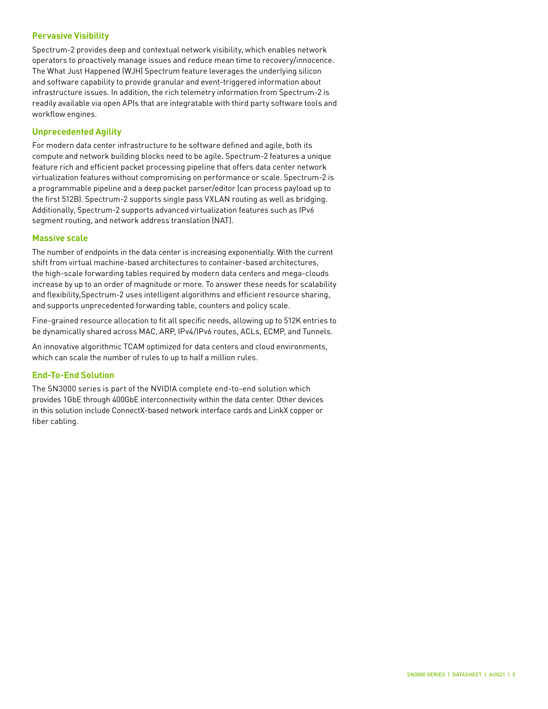#### **Pervasive Visibility**

Spectrum-2 provides deep and contextual network visibility, which enables network operators to proactively manage issues and reduce mean time to recovery/innocence. The What Just Happened (WJH) Spectrum feature leverages the underlying silicon and software capability to provide granular and event-triggered information about infrastructure issues. In addition, the rich telemetry information from Spectrum-2 is readily available via open APIs that are integratable with third party software tools and workflow engines.

#### **Unprecedented Agility**

For modern data center infrastructure to be software defined and agile, both its compute and network building blocks need to be agile. Spectrum-2 features a unique feature rich and efficient packet processing pipeline that offers data center network virtualization features without compromising on performance or scale. Spectrum-2 is a programmable pipeline and a deep packet parser/editor (can process payload up to the first 512B). Spectrum-2 supports single pass VXLAN routing as well as bridging. Additionally, Spectrum-2 supports advanced virtualization features such as IPv6 segment routing, and network address translation (NAT).

#### **Massive scale**

The number of endpoints in the data center is increasing exponentially. With the current shift from virtual machine-based architectures to container-based architectures, the high-scale forwarding tables required by modern data centers and mega-clouds increase by up to an order of magnitude or more. To answer these needs for scalability and flexibility,Spectrum-2 uses intelligent algorithms and efficient resource sharing, and supports unprecedented forwarding table, counters and policy scale.

Fine-grained resource allocation to fit all specific needs, allowing up to 512K entries to be dynamically shared across MAC, ARP, IPv4/IPv6 routes, ACLs, ECMP, and Tunnels.

An innovative algorithmic TCAM optimized for data centers and cloud environments, which can scale the number of rules to up to half a million rules.

#### **End-To-End Solution**

The SN3000 series is part of the NVIDIA complete end-to-end solution which provides 1GbE through 400GbE interconnectivity within the data center. Other devices in this solution include ConnectX-based network interface cards and LinkX copper or fiber cabling.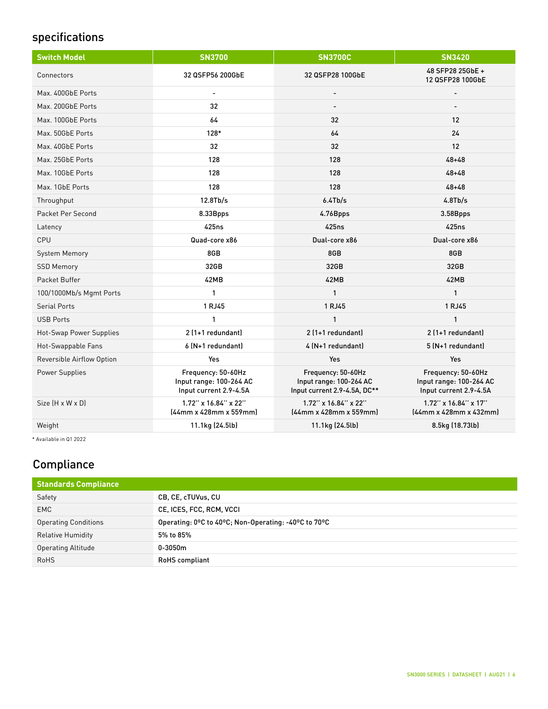## specifications

| <b>Switch Model</b>       | <b>SN3700</b>                                                           | <b>SN3700C</b>                                                                | <b>SN3420</b>                                                           |
|---------------------------|-------------------------------------------------------------------------|-------------------------------------------------------------------------------|-------------------------------------------------------------------------|
| Connectors                | 32 QSFP56 200GbE                                                        | 32 QSFP28 100GbE                                                              | 48 SFP28 25GbE +<br>12 QSFP28 100GbE                                    |
| Max. 400GbE Ports         | $\overline{a}$                                                          | $\overline{\phantom{a}}$                                                      | $\overline{a}$                                                          |
| Max. 200GbE Ports         | 32                                                                      |                                                                               |                                                                         |
| Max. 100GbE Ports         | 64                                                                      | 32                                                                            | 12                                                                      |
| Max. 50GbE Ports          | 128*                                                                    | 64                                                                            | 24                                                                      |
| Max. 40GbE Ports          | 32                                                                      | 32                                                                            | 12                                                                      |
| Max. 25GbE Ports          | 128                                                                     | 128                                                                           | $48 + 48$                                                               |
| Max. 10GbE Ports          | 128                                                                     | 128                                                                           | $48 + 48$                                                               |
| Max. 1GbE Ports           | 128                                                                     | 128                                                                           | $48 + 48$                                                               |
| Throughput                | 12.8Tb/s                                                                | 6.4Tb/s                                                                       | 4.8Tb/s                                                                 |
| Packet Per Second         | 8.33Bpps                                                                | 4.76Bpps                                                                      | 3.58Bpps                                                                |
| Latency                   | 425ns                                                                   | 425ns                                                                         | <b>425ns</b>                                                            |
| CPU                       | Quad-core x86                                                           | Dual-core x86                                                                 | Dual-core x86                                                           |
| System Memory             | 8GB                                                                     | 8GB                                                                           | 8GB                                                                     |
| <b>SSD Memory</b>         | 32GB                                                                    | 32GB                                                                          | 32GB                                                                    |
| Packet Buffer             | 42MB                                                                    | 42MB                                                                          | 42MB                                                                    |
| 100/1000Mb/s Mgmt Ports   | 1                                                                       | $\mathbf{1}$                                                                  | 1                                                                       |
| <b>Serial Ports</b>       | 1 RJ45                                                                  | 1 RJ45                                                                        | 1 RJ45                                                                  |
| <b>USB Ports</b>          | 1                                                                       | 1                                                                             | 1                                                                       |
| Hot-Swap Power Supplies   | 2 (1+1 redundant)                                                       | 2 (1+1 redundant)                                                             | 2 (1+1 redundant)                                                       |
| Hot-Swappable Fans        | 6 (N+1 redundant)                                                       | 4 (N+1 redundant)                                                             | 5 (N+1 redundant)                                                       |
| Reversible Airflow Option | Yes                                                                     | Yes                                                                           | Yes                                                                     |
| Power Supplies            | Frequency: 50-60Hz<br>Input range: 100-264 AC<br>Input current 2.9-4.5A | Frequency: 50-60Hz<br>Input range: 100-264 AC<br>Input current 2.9-4.5A, DC** | Frequency: 50-60Hz<br>Input range: 100-264 AC<br>Input current 2.9-4.5A |
| Size [H x W x D]          | 1.72" x 16.84" x 22"<br>(44mm x 428mm x 559mm)                          | $1.72$ " x $16.84$ " x $22$ "<br>(44mm x 428mm x 559mm)                       | $1.72$ " x $16.84$ " x $17$ "<br>(44mm x 428mm x 432mm)                 |
| Weight                    | 11.1kg (24.5lb)                                                         | 11.1kg (24.5lb)                                                               | 8.5kg (18.73lb)                                                         |

\* Available in Q1 2022

## **Compliance**

| <b>Standards Compliance</b> |                                                      |
|-----------------------------|------------------------------------------------------|
| Safety                      | CB, CE, cTUVus, CU                                   |
| EMC                         | CE, ICES, FCC, RCM, VCCI                             |
| <b>Operating Conditions</b> | Operating: 0°C to 40°C; Non-Operating: -40°C to 70°C |
| <b>Relative Humidity</b>    | 5% to 85%                                            |
| <b>Operating Altitude</b>   | $0 - 3050m$                                          |
| <b>RoHS</b>                 | <b>RoHS</b> compliant                                |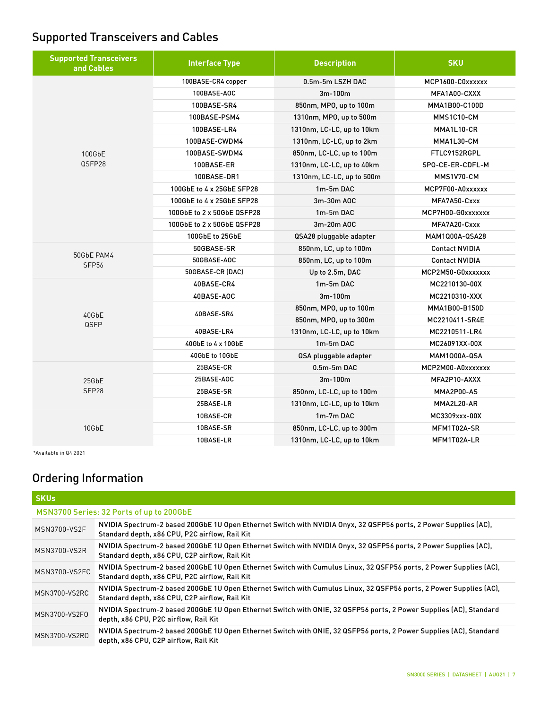## Supported Transceivers and Cables

| <b>Supported Transceivers</b><br>and Cables | <b>Interface Type</b>      | <b>Description</b>        | <b>SKU</b>            |
|---------------------------------------------|----------------------------|---------------------------|-----------------------|
|                                             | 100BASE-CR4 copper         | 0.5m-5m LSZH DAC          | MCP1600-C0xxxxxx      |
|                                             | 100BASE-AOC                | 3m-100m                   | MFA1A00-CXXX          |
|                                             | 100BASE-SR4                | 850nm, MPO, up to 100m    | MMA1B00-C100D         |
|                                             | 100BASE-PSM4               | 1310nm, MPO, up to 500m   | MMS1C10-CM            |
|                                             | 100BASE-LR4                | 1310nm, LC-LC, up to 10km | MMA1L10-CR            |
|                                             | 100BASE-CWDM4              | 1310nm, LC-LC, up to 2km  | MMA1L30-CM            |
| 100GbE                                      | 100BASE-SWDM4              | 850nm, LC-LC, up to 100m  | FTLC9152RGPL          |
| QSFP28                                      | 100BASE-ER                 | 1310nm, LC-LC, up to 40km | SPQ-CE-ER-CDFL-M      |
|                                             | 100BASE-DR1                | 1310nm, LC-LC, up to 500m | MMS1V70-CM            |
|                                             | 100GbE to 4 x 25GbE SFP28  | 1m-5m DAC                 | MCP7F00-A0xxxxxx      |
|                                             | 100GbE to 4 x 25GbE SFP28  | 3m-30m AOC                | MFA7A50-Cxxx          |
|                                             | 100GbE to 2 x 50GbE QSFP28 | 1m-5m DAC                 | MCP7H00-G0xxxxxxx     |
|                                             | 100GbE to 2 x 50GbE QSFP28 | 3m-20m AOC                | MFA7A20-Cxxx          |
|                                             | 100GbE to 25GbE            | QSA28 pluggable adapter   | MAM1000A-0SA28        |
|                                             | 50GBASE-SR                 | 850nm, LC, up to 100m     | <b>Contact NVIDIA</b> |
| 50GbE PAM4<br>SFP <sub>56</sub>             | 50GBASE-AOC                | 850nm, LC, up to 100m     | <b>Contact NVIDIA</b> |
|                                             | 50GBASE-CR (DAC)           | Up to 2.5m, DAC           | MCP2M50-G0xxxxxxx     |
|                                             | 40BASE-CR4                 | 1m-5m DAC                 | MC2210130-00X         |
|                                             | 40BASE-AOC                 | 3m-100m                   | MC2210310-XXX         |
|                                             |                            | 850nm, MPO, up to 100m    | MMA1B00-B150D         |
| 40GbE<br>QSFP                               | 40BASE-SR4                 | 850nm, MPO, up to 300m    | MC2210411-SR4E        |
|                                             | 40BASE-LR4                 | 1310nm, LC-LC, up to 10km | MC2210511-LR4         |
|                                             | 40GbE to 4 x 10GbE         | 1m-5m DAC                 | MC26091XX-00X         |
|                                             | 40GbE to 10GbE             | QSA pluggable adapter     | <b>MAM1000A-QSA</b>   |
|                                             | 25BASE-CR                  | $0.5m-5m$ DAC             | MCP2M00-A0xxxxxxx     |
| 25GbE                                       | 25BASE-AOC                 | 3m-100m                   | MFA2P10-AXXX          |
| SFP28                                       | 25BASE-SR                  | 850nm, LC-LC, up to 100m  | MMA2P00-AS            |
|                                             | 25BASE-LR                  | 1310nm, LC-LC, up to 10km | MMA2L20-AR            |
|                                             | 10BASE-CR                  | 1m-7m DAC                 | MC3309xxx-00X         |
| 10GbE                                       | 10BASE-SR                  | 850nm, LC-LC, up to 300m  | MFM1T02A-SR           |
|                                             | 10BASE-LR                  | 1310nm, LC-LC, up to 10km | MFM1T02A-LR           |

\*Available in Q4 2021

## Ordering Information

| <b>SKUs</b>          |                                                                                                                                                                      |
|----------------------|----------------------------------------------------------------------------------------------------------------------------------------------------------------------|
|                      | MSN3700 Series: 32 Ports of up to 200GbE                                                                                                                             |
| MSN3700-VS2F         | NVIDIA Spectrum-2 based 200GbE 1U Open Ethernet Switch with NVIDIA Onyx, 32 QSFP56 ports, 2 Power Supplies (AC),<br>Standard depth, x86 CPU, P2C airflow, Rail Kit   |
| <b>MSN3700-VS2R</b>  | NVIDIA Spectrum-2 based 200GbE 1U Open Ethernet Switch with NVIDIA Onyx, 32 QSFP56 ports, 2 Power Supplies (AC),<br>Standard depth, x86 CPU, C2P airflow, Rail Kit   |
| MSN3700-VS2FC        | NVIDIA Spectrum-2 based 200GbE 1U Open Ethernet Switch with Cumulus Linux, 32 QSFP56 ports, 2 Power Supplies (AC),<br>Standard depth, x86 CPU, P2C airflow, Rail Kit |
| <b>MSN3700-VS2RC</b> | NVIDIA Spectrum-2 based 200GbE 1U Open Ethernet Switch with Cumulus Linux, 32 QSFP56 ports, 2 Power Supplies (AC),<br>Standard depth, x86 CPU, C2P airflow, Rail Kit |
| MSN3700-VS2F0        | NVIDIA Spectrum-2 based 200GbE 1U Open Ethernet Switch with ONIE, 32 QSFP56 ports, 2 Power Supplies (AC), Standard<br>depth, x86 CPU, P2C airflow, Rail Kit          |
| MSN3700-VS2RO        | NVIDIA Spectrum-2 based 200GbE 1U Open Ethernet Switch with ONIE, 32 QSFP56 ports, 2 Power Supplies (AC), Standard<br>depth, x86 CPU, C2P airflow, Rail Kit          |